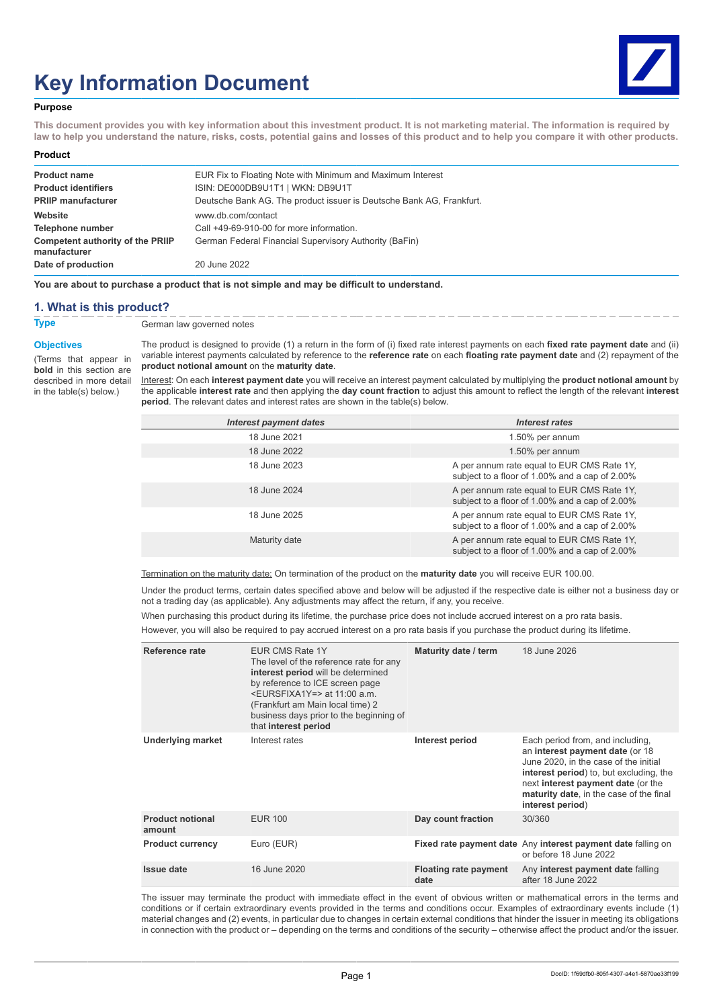# **Key Information Document**



#### **Purpose**

**This document provides you with key information about this investment product. It is not marketing material. The information is required by law to help you understand the nature, risks, costs, potential gains and losses of this product and to help you compare it with other products.**

#### **Product**

| EUR Fix to Floating Note with Minimum and Maximum Interest           |
|----------------------------------------------------------------------|
| ISIN: DE000DB9U1T1   WKN: DB9U1T                                     |
| Deutsche Bank AG. The product issuer is Deutsche Bank AG, Frankfurt. |
| www.db.com/contact                                                   |
| Call +49-69-910-00 for more information.                             |
| German Federal Financial Supervisory Authority (BaFin)               |
| 20 June 2022                                                         |
|                                                                      |

**You are about to purchase a product that is not simple and may be difficult to understand.**

#### **1. What is this product?**

**Type** German law governed notes

#### **Objectives**

(Terms that appear in **bold** in this section are described in more detail in the table(s) below.)

The product is designed to provide (1) a return in the form of (i) fixed rate interest payments on each **fixed rate payment date** and (ii) variable interest payments calculated by reference to the **reference rate** on each **floating rate payment date** and (2) repayment of the **product notional amount** on the **maturity date**.

Interest: On each **interest payment date** you will receive an interest payment calculated by multiplying the **product notional amount** by the applicable **interest rate** and then applying the **day count fraction** to adjust this amount to reflect the length of the relevant **interest period**. The relevant dates and interest rates are shown in the table(s) below.

| <b>Interest payment dates</b> | <b>Interest rates</b>                                                                        |
|-------------------------------|----------------------------------------------------------------------------------------------|
| 18 June 2021                  | 1.50% per annum                                                                              |
| 18 June 2022                  | 1.50% per annum                                                                              |
| 18 June 2023                  | A per annum rate equal to EUR CMS Rate 1Y,<br>subject to a floor of 1.00% and a cap of 2.00% |
| 18 June 2024                  | A per annum rate equal to EUR CMS Rate 1Y,<br>subject to a floor of 1.00% and a cap of 2.00% |
| 18 June 2025                  | A per annum rate equal to EUR CMS Rate 1Y,<br>subject to a floor of 1.00% and a cap of 2.00% |
| Maturity date                 | A per annum rate equal to EUR CMS Rate 1Y,<br>subject to a floor of 1.00% and a cap of 2.00% |

Termination on the maturity date: On termination of the product on the **maturity date** you will receive EUR 100.00.

Under the product terms, certain dates specified above and below will be adjusted if the respective date is either not a business day or not a trading day (as applicable). Any adjustments may affect the return, if any, you receive.

When purchasing this product during its lifetime, the purchase price does not include accrued interest on a pro rata basis.

However, you will also be required to pay accrued interest on a pro rata basis if you purchase the product during its lifetime.

| Reference rate                    | EUR CMS Rate 1Y<br>The level of the reference rate for any<br>interest period will be determined<br>by reference to ICE screen page<br><eursfixa1y=> at 11:00 a.m.<br/>(Frankfurt am Main local time) 2<br/>business days prior to the beginning of<br/>that interest period</eursfixa1y=> | Maturity date / term                 | 18 June 2026                                                                                                                                                                                                                                                 |
|-----------------------------------|--------------------------------------------------------------------------------------------------------------------------------------------------------------------------------------------------------------------------------------------------------------------------------------------|--------------------------------------|--------------------------------------------------------------------------------------------------------------------------------------------------------------------------------------------------------------------------------------------------------------|
| <b>Underlying market</b>          | Interest rates                                                                                                                                                                                                                                                                             | Interest period                      | Each period from, and including,<br>an interest payment date (or 18<br>June 2020, in the case of the initial<br>interest period) to, but excluding, the<br>next interest payment date (or the<br>maturity date, in the case of the final<br>interest period) |
| <b>Product notional</b><br>amount | <b>EUR 100</b>                                                                                                                                                                                                                                                                             | Day count fraction                   | 30/360                                                                                                                                                                                                                                                       |
| <b>Product currency</b>           | Euro (EUR)                                                                                                                                                                                                                                                                                 |                                      | Fixed rate payment date Any interest payment date falling on<br>or before 18 June 2022                                                                                                                                                                       |
| Issue date                        | 16 June 2020                                                                                                                                                                                                                                                                               | <b>Floating rate payment</b><br>date | Any interest payment date falling<br>after 18 June 2022                                                                                                                                                                                                      |

The issuer may terminate the product with immediate effect in the event of obvious written or mathematical errors in the terms and conditions or if certain extraordinary events provided in the terms and conditions occur. Examples of extraordinary events include (1) material changes and (2) events, in particular due to changes in certain external conditions that hinder the issuer in meeting its obligations in connection with the product or – depending on the terms and conditions of the security – otherwise affect the product and/or the issuer.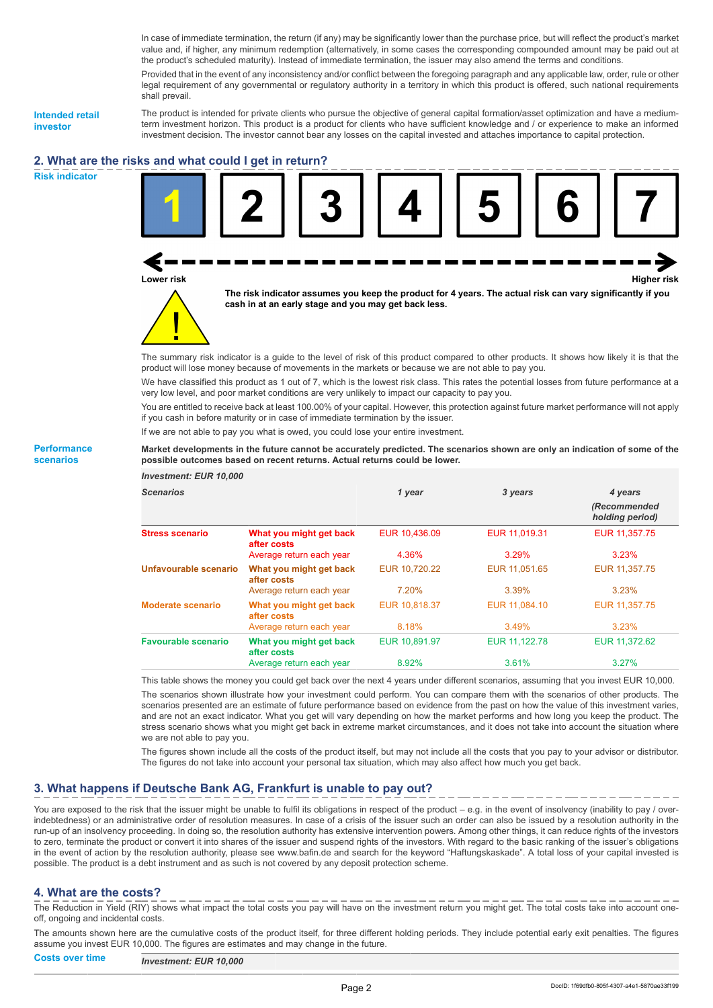In case of immediate termination, the return (if any) may be significantly lower than the purchase price, but will reflect the product's market value and, if higher, any minimum redemption (alternatively, in some cases the corresponding compounded amount may be paid out at the product's scheduled maturity). Instead of immediate termination, the issuer may also amend the terms and conditions.

Provided that in the event of any inconsistency and/or conflict between the foregoing paragraph and any applicable law, order, rule or other legal requirement of any governmental or regulatory authority in a territory in which this product is offered, such national requirements shall prevail.

**Intended retail investor**

The product is intended for private clients who pursue the objective of general capital formation/asset optimization and have a mediumterm investment horizon. This product is a product for clients who have sufficient knowledge and / or experience to make an informed investment decision. The investor cannot bear any losses on the capital invested and attaches importance to capital protection.

# **2. What are the risks and what could I get in return?**

**Risk indicator**

**Performance scenarios**





**The risk indicator assumes you keep the product for 4 years. The actual risk can vary significantly if you cash in at an early stage and you may get back less.**

The summary risk indicator is a guide to the level of risk of this product compared to other products. It shows how likely it is that the product will lose money because of movements in the markets or because we are not able to pay you.

We have classified this product as 1 out of 7, which is the lowest risk class. This rates the potential losses from future performance at a very low level, and poor market conditions are very unlikely to impact our capacity to pay you.

You are entitled to receive back at least 100.00% of your capital. However, this protection against future market performance will not apply if you cash in before maturity or in case of immediate termination by the issuer.

If we are not able to pay you what is owed, you could lose your entire investment.

**Market developments in the future cannot be accurately predicted. The scenarios shown are only an indication of some of the possible outcomes based on recent returns. Actual returns could be lower.**

| <b>Investment: EUR 10,000</b> |                                        |               |               |                                 |
|-------------------------------|----------------------------------------|---------------|---------------|---------------------------------|
| <b>Scenarios</b>              |                                        | 1 year        | 3 years       | 4 years                         |
|                               |                                        |               |               | (Recommended<br>holding period) |
| <b>Stress scenario</b>        | What you might get back<br>after costs | EUR 10.436.09 | EUR 11.019.31 | EUR 11,357.75                   |
|                               | Average return each year               | 4.36%         | 3.29%         | 3.23%                           |
| Unfavourable scenario         | What you might get back<br>after costs | EUR 10,720.22 | EUR 11,051.65 | EUR 11,357.75                   |
|                               | Average return each year               | 7.20%         | 3.39%         | 3.23%                           |
| <b>Moderate scenario</b>      | What you might get back<br>after costs | EUR 10,818.37 | EUR 11,084.10 | EUR 11,357.75                   |
|                               | Average return each year               | 8.18%         | 3.49%         | 3.23%                           |
| <b>Favourable scenario</b>    | What you might get back<br>after costs | EUR 10.891.97 | EUR 11.122.78 | EUR 11.372.62                   |
|                               | Average return each year               | 8.92%         | 3.61%         | 3.27%                           |

This table shows the money you could get back over the next 4 years under different scenarios, assuming that you invest EUR 10,000.

The scenarios shown illustrate how your investment could perform. You can compare them with the scenarios of other products. The scenarios presented are an estimate of future performance based on evidence from the past on how the value of this investment varies, and are not an exact indicator. What you get will vary depending on how the market performs and how long you keep the product. The stress scenario shows what you might get back in extreme market circumstances, and it does not take into account the situation where we are not able to pay you.

The figures shown include all the costs of the product itself, but may not include all the costs that you pay to your advisor or distributor. The figures do not take into account your personal tax situation, which may also affect how much you get back.

## **3. What happens if Deutsche Bank AG, Frankfurt is unable to pay out?**

You are exposed to the risk that the issuer might be unable to fulfil its obligations in respect of the product – e.g. in the event of insolvency (inability to pay / overindebtedness) or an administrative order of resolution measures. In case of a crisis of the issuer such an order can also be issued by a resolution authority in the run-up of an insolvency proceeding. In doing so, the resolution authority has extensive intervention powers. Among other things, it can reduce rights of the investors to zero, terminate the product or convert it into shares of the issuer and suspend rights of the investors. With regard to the basic ranking of the issuer's obligations in the event of action by the resolution authority, please see www.bafin.de and search for the keyword "Haftungskaskade". A total loss of your capital invested is possible. The product is a debt instrument and as such is not covered by any deposit protection scheme.

#### **4. What are the costs?**

The Reduction in Yield (RIY) shows what impact the total costs you pay will have on the investment return you might get. The total costs take into account oneoff, ongoing and incidental costs.

The amounts shown here are the cumulative costs of the product itself, for three different holding periods. They include potential early exit penalties. The figures assume you invest EUR 10,000. The figures are estimates and may change in the future.

**Costs over time** *Investment: EUR 10,000*